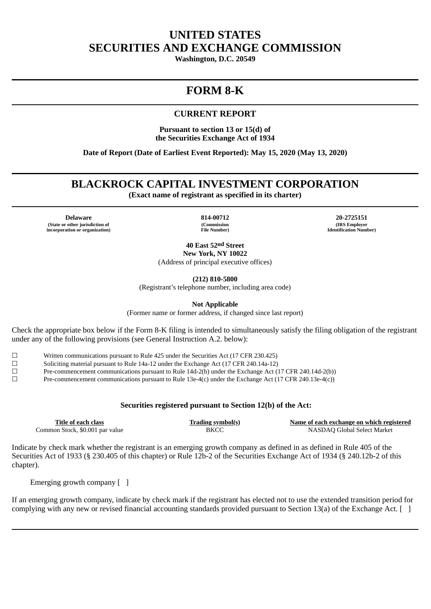## **UNITED STATES SECURITIES AND EXCHANGE COMMISSION**

**Washington, D.C. 20549**

# **FORM 8-K**

## **CURRENT REPORT**

**Pursuant to section 13 or 15(d) of the Securities Exchange Act of 1934**

**Date of Report (Date of Earliest Event Reported): May 15, 2020 (May 13, 2020)**

## **BLACKROCK CAPITAL INVESTMENT CORPORATION**

**(Exact name of registrant as specified in its charter)**

**Delaware 814-00712 20-2725151 (State or other jurisdiction of incorporation or organization)**

**(Commission File Number)**

**(IRS Employer Identification Number)**

**40 East 52nd Street New York, NY 10022** (Address of principal executive offices)

**(212) 810-5800**

(Registrant's telephone number, including area code)

**Not Applicable**

(Former name or former address, if changed since last report)

Check the appropriate box below if the Form 8-K filing is intended to simultaneously satisfy the filing obligation of the registrant under any of the following provisions (see General Instruction A.2. below):

☐ Written communications pursuant to Rule 425 under the Securities Act (17 CFR 230.425)

☐ Soliciting material pursuant to Rule 14a-12 under the Exchange Act (17 CFR 240.14a-12)

☐ Pre-commencement communications pursuant to Rule 14d-2(b) under the Exchange Act (17 CFR 240.14d-2(b))

☐ Pre-commencement communications pursuant to Rule 13e-4(c) under the Exchange Act (17 CFR 240.13e-4(c))

### **Securities registered pursuant to Section 12(b) of the Act:**

| Title of each class             | <b>Trading symbol(s)</b> | Name of each exchange on which registered |
|---------------------------------|--------------------------|-------------------------------------------|
| Common Stock, \$0.001 par value | BKCC                     | NASDAQ Global Select Market               |

Indicate by check mark whether the registrant is an emerging growth company as defined in as defined in Rule 405 of the Securities Act of 1933 (§ 230.405 of this chapter) or Rule 12b-2 of the Securities Exchange Act of 1934 (§ 240.12b-2 of this chapter).

Emerging growth company [ ]

If an emerging growth company, indicate by check mark if the registrant has elected not to use the extended transition period for complying with any new or revised financial accounting standards provided pursuant to Section 13(a) of the Exchange Act. [ ]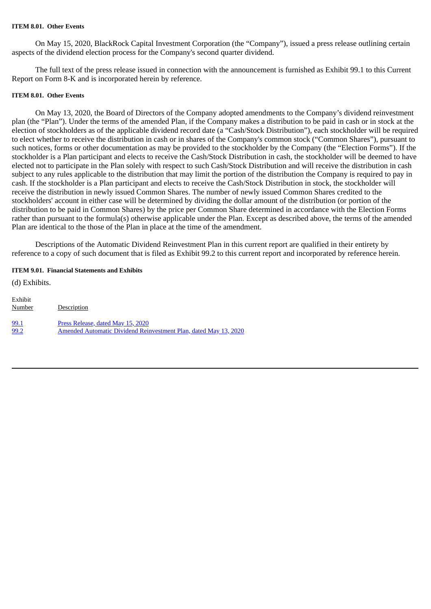#### **ITEM 8.01. Other Events**

On May 15, 2020, BlackRock Capital Investment Corporation (the "Company"), issued a press release outlining certain aspects of the dividend election process for the Company's second quarter dividend.

The full text of the press release issued in connection with the announcement is furnished as Exhibit 99.1 to this Current Report on Form 8-K and is incorporated herein by reference.

#### **ITEM 8.01. Other Events**

On May 13, 2020, the Board of Directors of the Company adopted amendments to the Company's dividend reinvestment plan (the "Plan"). Under the terms of the amended Plan, if the Company makes a distribution to be paid in cash or in stock at the election of stockholders as of the applicable dividend record date (a "Cash/Stock Distribution"), each stockholder will be required to elect whether to receive the distribution in cash or in shares of the Company's common stock ("Common Shares"), pursuant to such notices, forms or other documentation as may be provided to the stockholder by the Company (the "Election Forms"). If the stockholder is a Plan participant and elects to receive the Cash/Stock Distribution in cash, the stockholder will be deemed to have elected not to participate in the Plan solely with respect to such Cash/Stock Distribution and will receive the distribution in cash subject to any rules applicable to the distribution that may limit the portion of the distribution the Company is required to pay in cash. If the stockholder is a Plan participant and elects to receive the Cash/Stock Distribution in stock, the stockholder will receive the distribution in newly issued Common Shares. The number of newly issued Common Shares credited to the stockholders' account in either case will be determined by dividing the dollar amount of the distribution (or portion of the distribution to be paid in Common Shares) by the price per Common Share determined in accordance with the Election Forms rather than pursuant to the formula(s) otherwise applicable under the Plan. Except as described above, the terms of the amended Plan are identical to the those of the Plan in place at the time of the amendment.

Descriptions of the Automatic Dividend Reinvestment Plan in this current report are qualified in their entirety by reference to a copy of such document that is filed as Exhibit 99.2 to this current report and incorporated by reference herein.

#### **ITEM 9.01. Financial Statements and Exhibits**

(d) Exhibits. Exhibit Number Description [99.1](#page-3-0) Press [Release,](#page-3-0) dated May 15, 2020<br>99.2 Amended Automatic Dividend Rei [99.2](#page-5-0) Amended Automatic Dividend [Reinvestment](#page-5-0) Plan, dated May 13, 2020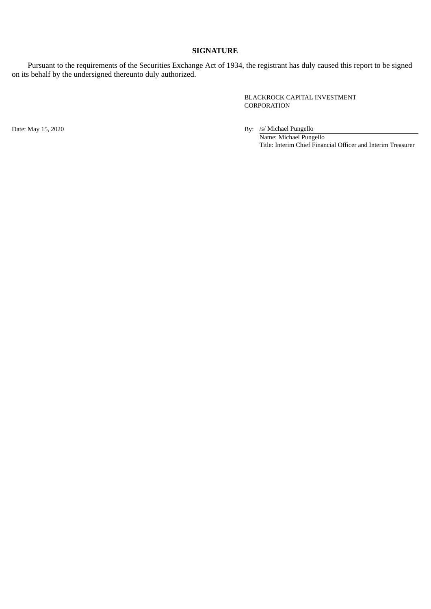#### **SIGNATURE**

Pursuant to the requirements of the Securities Exchange Act of 1934, the registrant has duly caused this report to be signed on its behalf by the undersigned thereunto duly authorized.

> BLACKROCK CAPITAL INVESTMENT CORPORATION

Date: May 15, 2020 By: /s/ Michael Pungello Name: Michael Pungello

Title: Interim Chief Financial Officer and Interim Treasurer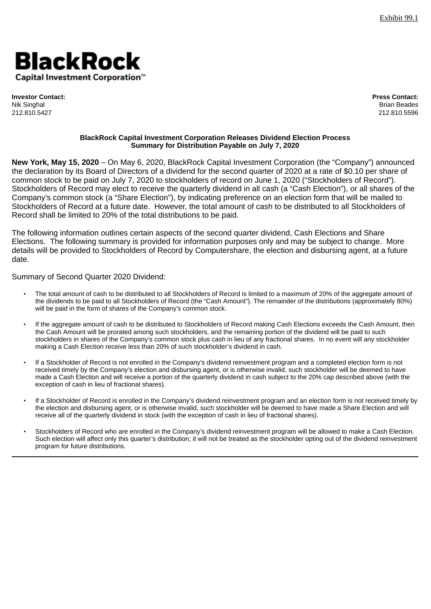<span id="page-3-0"></span>

**Investor Contact: Press Contact:** Nik Singhal Brian Beades 212.810.5427 212.810.5596

#### **BlackRock Capital Investment Corporation Releases Dividend Election Process Summary for Distribution Payable on July 7, 2020**

**New York, May 15, 2020** – On May 6, 2020, BlackRock Capital Investment Corporation (the "Company") announced the declaration by its Board of Directors of a dividend for the second quarter of 2020 at a rate of \$0.10 per share of common stock to be paid on July 7, 2020 to stockholders of record on June 1, 2020 ("Stockholders of Record"). Stockholders of Record may elect to receive the quarterly dividend in all cash (a "Cash Election"), or all shares of the Company's common stock (a "Share Election"), by indicating preference on an election form that will be mailed to Stockholders of Record at a future date. However, the total amount of cash to be distributed to all Stockholders of Record shall be limited to 20% of the total distributions to be paid.

The following information outlines certain aspects of the second quarter dividend, Cash Elections and Share Elections. The following summary is provided for information purposes only and may be subject to change. More details will be provided to Stockholders of Record by Computershare, the election and disbursing agent, at a future date.

### Summary of Second Quarter 2020 Dividend:

- The total amount of cash to be distributed to all Stockholders of Record is limited to a maximum of 20% of the aggregate amount of the dividends to be paid to all Stockholders of Record (the "Cash Amount"). The remainder of the distributions (approximately 80%) will be paid in the form of shares of the Company's common stock.
- If the aggregate amount of cash to be distributed to Stockholders of Record making Cash Elections exceeds the Cash Amount, then the Cash Amount will be prorated among such stockholders, and the remaining portion of the dividend will be paid to such stockholders in shares of the Company's common stock plus cash in lieu of any fractional shares. In no event will any stockholder making a Cash Election receive less than 20% of such stockholder's dividend in cash.
- If a Stockholder of Record is not enrolled in the Company's dividend reinvestment program and a completed election form is not received timely by the Company's election and disbursing agent, or is otherwise invalid, such stockholder will be deemed to have made a Cash Election and will receive a portion of the quarterly dividend in cash subject to the 20% cap described above (with the exception of cash in lieu of fractional shares).
- If a Stockholder of Record is enrolled in the Company's dividend reinvestment program and an election form is not received timely by the election and disbursing agent, or is otherwise invalid, such stockholder will be deemed to have made a Share Election and will receive all of the quarterly dividend in stock (with the exception of cash in lieu of fractional shares).
- Stockholders of Record who are enrolled in the Company's dividend reinvestment program will be allowed to make a Cash Election. Such election will affect only this quarter's distribution; it will not be treated as the stockholder opting out of the dividend reinvestment program for future distributions.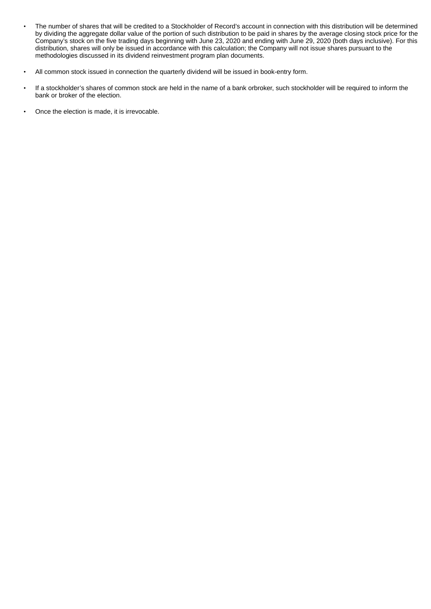- The number of shares that will be credited to a Stockholder of Record's account in connection with this distribution will be determined by dividing the aggregate dollar value of the portion of such distribution to be paid in shares by the average closing stock price for the Company's stock on the five trading days beginning with June 23, 2020 and ending with June 29, 2020 (both days inclusive). For this distribution, shares will only be issued in accordance with this calculation; the Company will not issue shares pursuant to the methodologies discussed in its dividend reinvestment program plan documents.
- All common stock issued in connection the quarterly dividend will be issued in book-entry form.
- If a stockholder's shares of common stock are held in the name of a bank orbroker, such stockholder will be required to inform the bank or broker of the election.
- Once the election is made, it is irrevocable.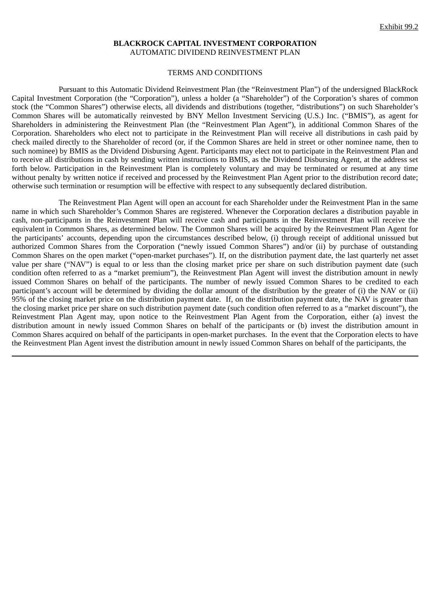#### **BLACKROCK CAPITAL INVESTMENT CORPORATION** AUTOMATIC DIVIDEND REINVESTMENT PLAN

#### TERMS AND CONDITIONS

<span id="page-5-0"></span>Pursuant to this Automatic Dividend Reinvestment Plan (the "Reinvestment Plan") of the undersigned BlackRock Capital Investment Corporation (the "Corporation"), unless a holder (a "Shareholder") of the Corporation's shares of common stock (the "Common Shares") otherwise elects, all dividends and distributions (together, "distributions") on such Shareholder's Common Shares will be automatically reinvested by BNY Mellon Investment Servicing (U.S.) Inc. ("BMIS"), as agent for Shareholders in administering the Reinvestment Plan (the "Reinvestment Plan Agent"), in additional Common Shares of the Corporation. Shareholders who elect not to participate in the Reinvestment Plan will receive all distributions in cash paid by check mailed directly to the Shareholder of record (or, if the Common Shares are held in street or other nominee name, then to such nominee) by BMIS as the Dividend Disbursing Agent. Participants may elect not to participate in the Reinvestment Plan and to receive all distributions in cash by sending written instructions to BMIS, as the Dividend Disbursing Agent, at the address set forth below. Participation in the Reinvestment Plan is completely voluntary and may be terminated or resumed at any time without penalty by written notice if received and processed by the Reinvestment Plan Agent prior to the distribution record date; otherwise such termination or resumption will be effective with respect to any subsequently declared distribution.

The Reinvestment Plan Agent will open an account for each Shareholder under the Reinvestment Plan in the same name in which such Shareholder's Common Shares are registered. Whenever the Corporation declares a distribution payable in cash, non-participants in the Reinvestment Plan will receive cash and participants in the Reinvestment Plan will receive the equivalent in Common Shares, as determined below. The Common Shares will be acquired by the Reinvestment Plan Agent for the participants' accounts, depending upon the circumstances described below, (i) through receipt of additional unissued but authorized Common Shares from the Corporation ("newly issued Common Shares") and/or (ii) by purchase of outstanding Common Shares on the open market ("open-market purchases"). If, on the distribution payment date, the last quarterly net asset value per share ("NAV") is equal to or less than the closing market price per share on such distribution payment date (such condition often referred to as a "market premium"), the Reinvestment Plan Agent will invest the distribution amount in newly issued Common Shares on behalf of the participants. The number of newly issued Common Shares to be credited to each participant's account will be determined by dividing the dollar amount of the distribution by the greater of (i) the NAV or (ii) 95% of the closing market price on the distribution payment date. If, on the distribution payment date, the NAV is greater than the closing market price per share on such distribution payment date (such condition often referred to as a "market discount"), the Reinvestment Plan Agent may, upon notice to the Reinvestment Plan Agent from the Corporation, either (a) invest the distribution amount in newly issued Common Shares on behalf of the participants or (b) invest the distribution amount in Common Shares acquired on behalf of the participants in open-market purchases. In the event that the Corporation elects to have the Reinvestment Plan Agent invest the distribution amount in newly issued Common Shares on behalf of the participants, the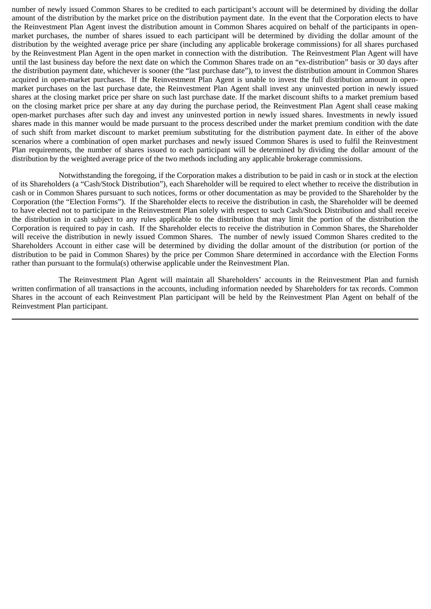number of newly issued Common Shares to be credited to each participant's account will be determined by dividing the dollar amount of the distribution by the market price on the distribution payment date. In the event that the Corporation elects to have the Reinvestment Plan Agent invest the distribution amount in Common Shares acquired on behalf of the participants in openmarket purchases, the number of shares issued to each participant will be determined by dividing the dollar amount of the distribution by the weighted average price per share (including any applicable brokerage commissions) for all shares purchased by the Reinvestment Plan Agent in the open market in connection with the distribution. The Reinvestment Plan Agent will have until the last business day before the next date on which the Common Shares trade on an "ex-distribution" basis or 30 days after the distribution payment date, whichever is sooner (the "last purchase date"), to invest the distribution amount in Common Shares acquired in open-market purchases. If the Reinvestment Plan Agent is unable to invest the full distribution amount in openmarket purchases on the last purchase date, the Reinvestment Plan Agent shall invest any uninvested portion in newly issued shares at the closing market price per share on such last purchase date. If the market discount shifts to a market premium based on the closing market price per share at any day during the purchase period, the Reinvestment Plan Agent shall cease making open-market purchases after such day and invest any uninvested portion in newly issued shares. Investments in newly issued shares made in this manner would be made pursuant to the process described under the market premium condition with the date of such shift from market discount to market premium substituting for the distribution payment date. In either of the above scenarios where a combination of open market purchases and newly issued Common Shares is used to fulfil the Reinvestment Plan requirements, the number of shares issued to each participant will be determined by dividing the dollar amount of the distribution by the weighted average price of the two methods including any applicable brokerage commissions.

Notwithstanding the foregoing, if the Corporation makes a distribution to be paid in cash or in stock at the election of its Shareholders (a "Cash/Stock Distribution"), each Shareholder will be required to elect whether to receive the distribution in cash or in Common Shares pursuant to such notices, forms or other documentation as may be provided to the Shareholder by the Corporation (the "Election Forms"). If the Shareholder elects to receive the distribution in cash, the Shareholder will be deemed to have elected not to participate in the Reinvestment Plan solely with respect to such Cash/Stock Distribution and shall receive the distribution in cash subject to any rules applicable to the distribution that may limit the portion of the distribution the Corporation is required to pay in cash. If the Shareholder elects to receive the distribution in Common Shares, the Shareholder will receive the distribution in newly issued Common Shares. The number of newly issued Common Shares credited to the Shareholders Account in either case will be determined by dividing the dollar amount of the distribution (or portion of the distribution to be paid in Common Shares) by the price per Common Share determined in accordance with the Election Forms rather than pursuant to the formula(s) otherwise applicable under the Reinvestment Plan.

The Reinvestment Plan Agent will maintain all Shareholders' accounts in the Reinvestment Plan and furnish written confirmation of all transactions in the accounts, including information needed by Shareholders for tax records. Common Shares in the account of each Reinvestment Plan participant will be held by the Reinvestment Plan Agent on behalf of the Reinvestment Plan participant.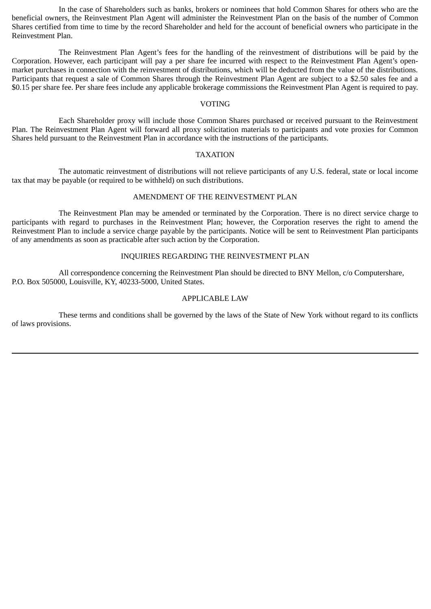In the case of Shareholders such as banks, brokers or nominees that hold Common Shares for others who are the beneficial owners, the Reinvestment Plan Agent will administer the Reinvestment Plan on the basis of the number of Common Shares certified from time to time by the record Shareholder and held for the account of beneficial owners who participate in the Reinvestment Plan.

The Reinvestment Plan Agent's fees for the handling of the reinvestment of distributions will be paid by the Corporation. However, each participant will pay a per share fee incurred with respect to the Reinvestment Plan Agent's openmarket purchases in connection with the reinvestment of distributions, which will be deducted from the value of the distributions. Participants that request a sale of Common Shares through the Reinvestment Plan Agent are subject to a \$2.50 sales fee and a \$0.15 per share fee. Per share fees include any applicable brokerage commissions the Reinvestment Plan Agent is required to pay.

#### VOTING

Each Shareholder proxy will include those Common Shares purchased or received pursuant to the Reinvestment Plan. The Reinvestment Plan Agent will forward all proxy solicitation materials to participants and vote proxies for Common Shares held pursuant to the Reinvestment Plan in accordance with the instructions of the participants.

#### TAXATION

The automatic reinvestment of distributions will not relieve participants of any U.S. federal, state or local income tax that may be payable (or required to be withheld) on such distributions.

### AMENDMENT OF THE REINVESTMENT PLAN

The Reinvestment Plan may be amended or terminated by the Corporation. There is no direct service charge to participants with regard to purchases in the Reinvestment Plan; however, the Corporation reserves the right to amend the Reinvestment Plan to include a service charge payable by the participants. Notice will be sent to Reinvestment Plan participants of any amendments as soon as practicable after such action by the Corporation.

#### INQUIRIES REGARDING THE REINVESTMENT PLAN

All correspondence concerning the Reinvestment Plan should be directed to BNY Mellon, c/o Computershare, P.O. Box 505000, Louisville, KY, 40233-5000, United States.

## APPLICABLE LAW

These terms and conditions shall be governed by the laws of the State of New York without regard to its conflicts of laws provisions.